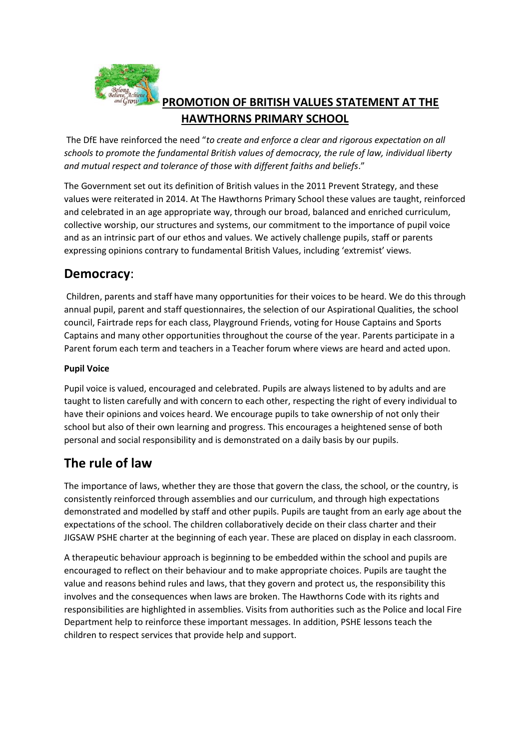

## **PROMOTION OF BRITISH VALUES STATEMENT AT THE HAWTHORNS PRIMARY SCHOOL**

The DfE have reinforced the need "*to create and enforce a clear and rigorous expectation on all schools to promote the fundamental British values of democracy, the rule of law, individual liberty and mutual respect and tolerance of those with different faiths and beliefs*."

The Government set out its definition of British values in the 2011 Prevent Strategy, and these values were reiterated in 2014. At The Hawthorns Primary School these values are taught, reinforced and celebrated in an age appropriate way, through our broad, balanced and enriched curriculum, collective worship, our structures and systems, our commitment to the importance of pupil voice and as an intrinsic part of our ethos and values. We actively challenge pupils, staff or parents expressing opinions contrary to fundamental British Values, including 'extremist' views.

### **Democracy**:

Children, parents and staff have many opportunities for their voices to be heard. We do this through annual pupil, parent and staff questionnaires, the selection of our Aspirational Qualities, the school council, Fairtrade reps for each class, Playground Friends, voting for House Captains and Sports Captains and many other opportunities throughout the course of the year. Parents participate in a Parent forum each term and teachers in a Teacher forum where views are heard and acted upon.

#### **Pupil Voice**

Pupil voice is valued, encouraged and celebrated. Pupils are always listened to by adults and are taught to listen carefully and with concern to each other, respecting the right of every individual to have their opinions and voices heard. We encourage pupils to take ownership of not only their school but also of their own learning and progress. This encourages a heightened sense of both personal and social responsibility and is demonstrated on a daily basis by our pupils.

# **The rule of law**

The importance of laws, whether they are those that govern the class, the school, or the country, is consistently reinforced through assemblies and our curriculum, and through high expectations demonstrated and modelled by staff and other pupils. Pupils are taught from an early age about the expectations of the school. The children collaboratively decide on their class charter and their JIGSAW PSHE charter at the beginning of each year. These are placed on display in each classroom.

A therapeutic behaviour approach is beginning to be embedded within the school and pupils are encouraged to reflect on their behaviour and to make appropriate choices. Pupils are taught the value and reasons behind rules and laws, that they govern and protect us, the responsibility this involves and the consequences when laws are broken. The Hawthorns Code with its rights and responsibilities are highlighted in assemblies. Visits from authorities such as the Police and local Fire Department help to reinforce these important messages. In addition, PSHE lessons teach the children to respect services that provide help and support.